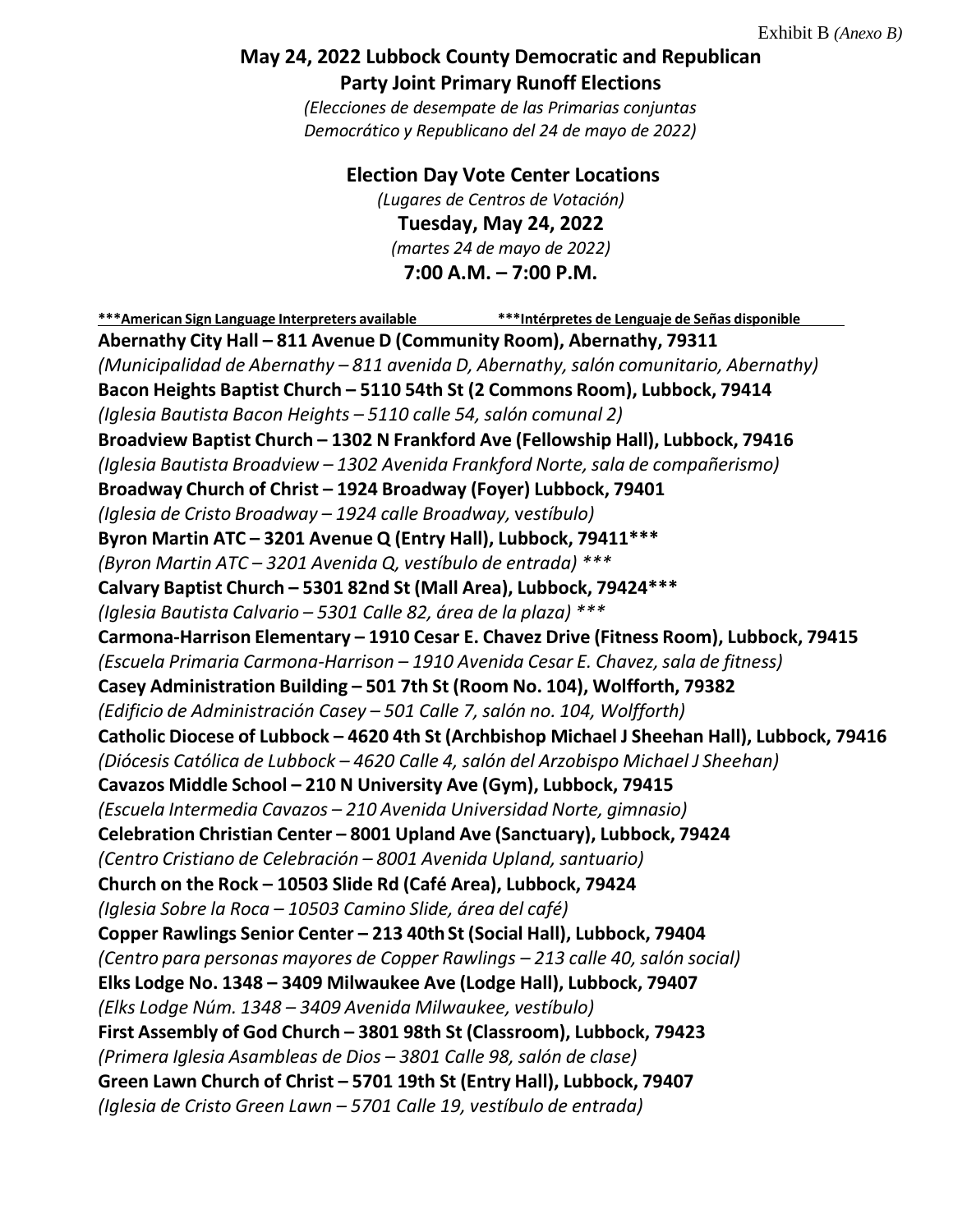## **May 24, 2022 Lubbock County Democratic and Republican Party Joint Primary Runoff Elections**

*(Elecciones de desempate de las Primarias conjuntas Democrático y Republicano del 24 de mayo de 2022)*

**Election Day Vote Center Locations**

*(Lugares de Centros de Votación)* **Tuesday, May 24, 2022** *(martes 24 de mayo de 2022)* **7:00 A.M. – 7:00 P.M.**

**\*\*\*American Sign Language Interpreters available \*\*\*Intérpretes de Lenguaje de Señas disponible Abernathy City Hall – 811 Avenue D (Community Room), Abernathy, 79311** *(Municipalidad de Abernathy – 811 avenida D, Abernathy,salón comunitario, Abernathy)* **Bacon Heights Baptist Church – 5110 54th St (2 Commons Room), Lubbock, 79414** *(Iglesia Bautista Bacon Heights – 5110 calle 54, salón comunal 2)* **Broadview Baptist Church – 1302 N Frankford Ave (Fellowship Hall), Lubbock, 79416** *(Iglesia Bautista Broadview – 1302 Avenida Frankford Norte,sala de compañerismo)* **Broadway Church of Christ – 1924 Broadway (Foyer) Lubbock, 79401** *(Iglesia de Cristo Broadway – 1924 calle Broadway,* v*estíbulo)* **Byron Martin ATC – 3201 Avenue Q (Entry Hall), Lubbock, 79411\*\*\*** *(Byron Martin ATC – 3201 Avenida Q, vestíbulo de entrada) \*\*\** **Calvary Baptist Church – 5301 82nd St (Mall Area), Lubbock, 79424\*\*\*** *(Iglesia Bautista Calvario – 5301 Calle 82, área de la plaza) \*\*\** **Carmona-Harrison Elementary – 1910 Cesar E. Chavez Drive (Fitness Room), Lubbock, 79415** *(Escuela Primaria Carmona-Harrison – 1910 Avenida Cesar E. Chavez,sala de fitness)* **Casey Administration Building – 501 7th St (Room No. 104), Wolfforth, 79382** *(Edificio de Administración Casey – 501 Calle 7,salón no. 104, Wolfforth)* **Catholic Diocese of Lubbock – 4620 4th St (Archbishop Michael J Sheehan Hall), Lubbock, 79416** *(Diócesis Católica de Lubbock – 4620 Calle 4, salón del Arzobispo Michael J Sheehan)* **Cavazos Middle School – 210 N University Ave (Gym), Lubbock, 79415** *(Escuela Intermedia Cavazos – 210 Avenida Universidad Norte, gimnasio)* **Celebration Christian Center – 8001 Upland Ave (Sanctuary), Lubbock, 79424** *(Centro Cristiano de Celebración – 8001 Avenida Upland,santuario)* **Church on the Rock – 10503 Slide Rd (Café Area), Lubbock, 79424** *(Iglesia Sobre la Roca – 10503 Camino Slide, área del café)* **Copper Rawlings Senior Center – 213 40thSt (Social Hall), Lubbock, 79404** *(Centro para personas mayores de Copper Rawlings – 213 calle 40,salón social)* **Elks Lodge No. 1348 – 3409 Milwaukee Ave (Lodge Hall), Lubbock, 79407** *(Elks Lodge Núm. 1348 – 3409 Avenida Milwaukee, vestíbulo)* **First Assembly of God Church – 3801 98th St (Classroom), Lubbock, 79423** *(Primera Iglesia Asambleas de Dios – 3801 Calle 98, salón de clase)* **Green Lawn Church of Christ – 5701 19th St (Entry Hall), Lubbock, 79407** *(Iglesia de Cristo Green Lawn – 5701 Calle 19, vestíbulo de entrada)*